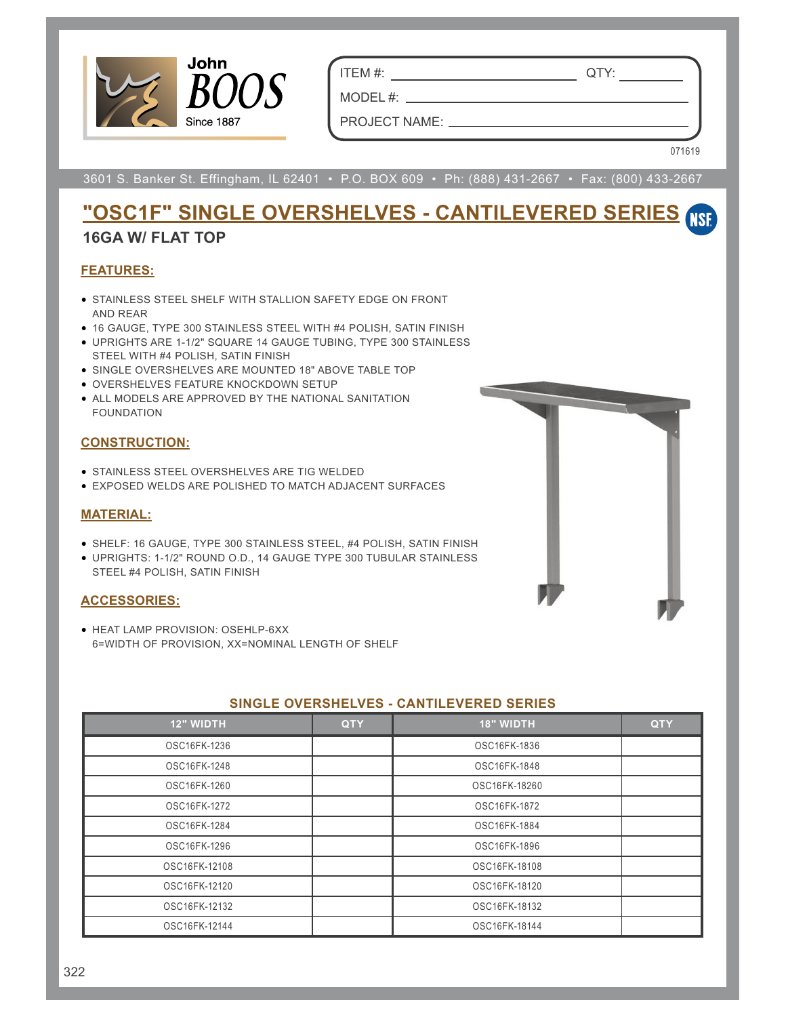

ITEM #: QTY:

MODEL  $#:$   $\_\_$ PROJECT NAME:

071619

3601 S. Banker St. Effingham, IL 62401 • P.O. BOX 609 • Ph: (888) 431-2667 • Fax: (800) 433-2667

# **"OSC1F" SINGLE OVERSHELVES - CANTILEVERED SERIES**

### **16GA W/ FLAT TOP**

#### **FEATURES:**

- STAINLESS STEEL SHELF WITH STALLION SAFETY EDGE ON FRONT AND REAR
- 16 GAUGE, TYPE 300 STAINLESS STEEL WITH #4 POLISH, SATIN FINISH
- UPRIGHTS ARE 1-1/2" SQUARE 14 GAUGE TUBING, TYPE 300 STAINLESS STEEL WITH #4 POLISH, SATIN FINISH
- SINGLE OVERSHELVES ARE MOUNTED 18" ABOVE TABLE TOP
- OVERSHELVES FEATURE KNOCKDOWN SETUP
- ALL MODELS ARE APPROVED BY THE NATIONAL SANITATION FOUNDATION

#### **CONSTRUCTION:**

- STAINLESS STEEL OVERSHELVES ARE TIG WELDED
- EXPOSED WELDS ARE POLISHED TO MATCH ADJACENT SURFACES

#### **MATERIAL:**

- SHELF: 16 GAUGE, TYPE 300 STAINLESS STEEL, #4 POLISH, SATIN FINISH
- UPRIGHTS: 1-1/2" ROUND O.D., 14 GAUGE TYPE 300 TUBULAR STAINLESS STEEL #4 POLISH, SATIN FINISH

#### **ACCESSORIES:**

• HEAT LAMP PROVISION: OSEHLP-6XX 6=WIDTH OF PROVISION, XX=NOMINAL LENGTH OF SHELF



| <b>12" WIDTH</b> | <b>QTY</b> | <b>18" WIDTH</b> | <b>QTY</b> |
|------------------|------------|------------------|------------|
| OSC16FK-1236     |            | OSC16FK-1836     |            |
| OSC16FK-1248     |            | OSC16FK-1848     |            |
| OSC16FK-1260     |            | OSC16FK-18260    |            |
| OSC16FK-1272     |            | OSC16FK-1872     |            |
| OSC16FK-1284     |            | OSC16FK-1884     |            |
| OSC16FK-1296     |            | OSC16FK-1896     |            |
| OSC16FK-12108    |            | OSC16FK-18108    |            |
| OSC16FK-12120    |            | OSC16FK-18120    |            |
| OSC16FK-12132    |            | OSC16FK-18132    |            |
| OSC16FK-12144    |            | OSC16FK-18144    |            |

#### **SINGLE OVERSHELVES - CANTILEVERED SERIES**